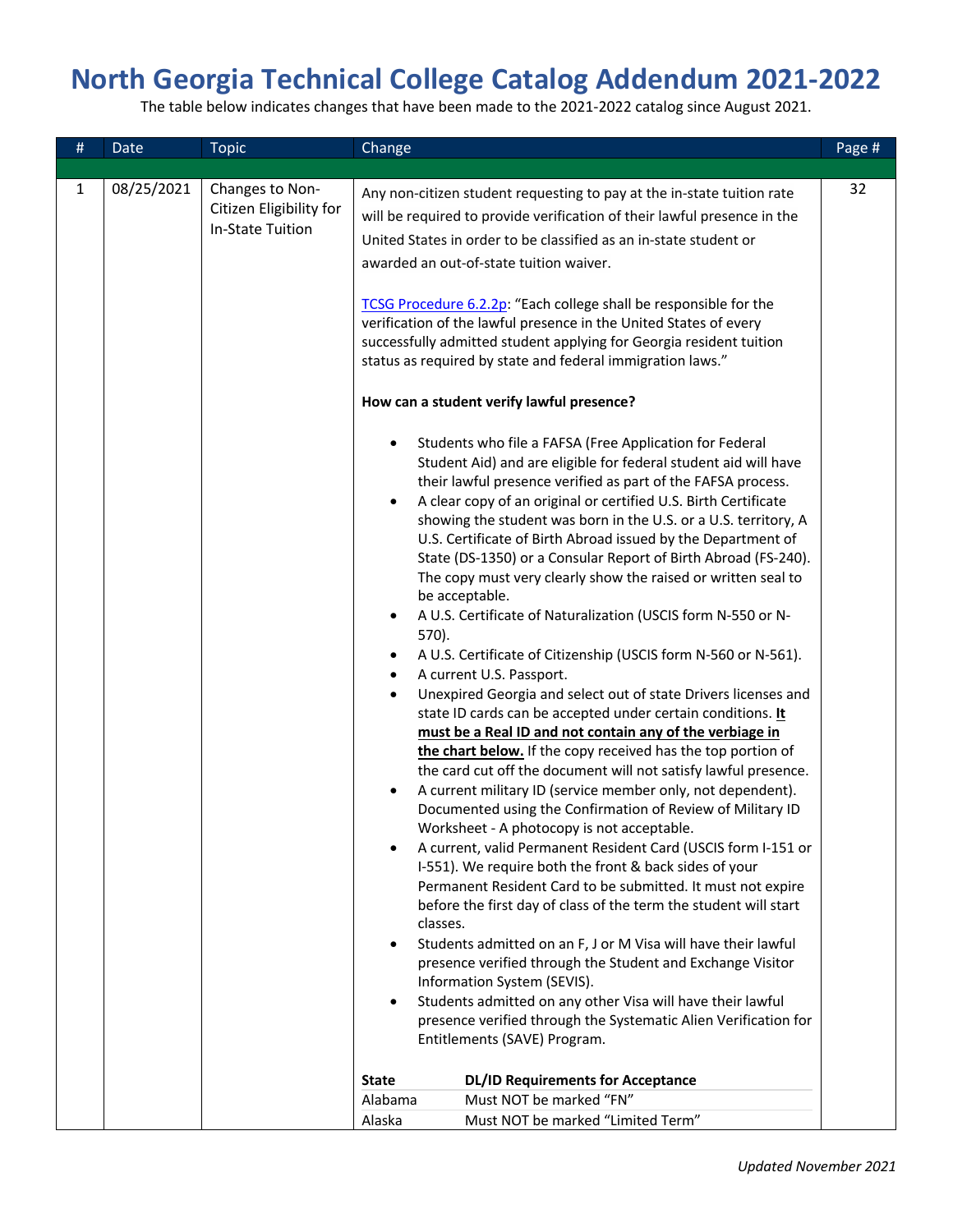## **North Georgia Technical College Catalog Addendum 2021-2022**

The table below indicates changes that have been made to the 2021-2022 catalog since August 2021.

| # | Date       | <b>Topic</b>                                                          | Change                                                                                                                                                                                                                                                                                                                                                                                                                                                                                                                                                                                                                                                                                                                                                                                                                                                                                                                                                                                                                                                                                                                                                                                                                                                                                                                                                                                                                                                                                                                                                                                                                                                                                                                                                                                                                                                 | Page # |
|---|------------|-----------------------------------------------------------------------|--------------------------------------------------------------------------------------------------------------------------------------------------------------------------------------------------------------------------------------------------------------------------------------------------------------------------------------------------------------------------------------------------------------------------------------------------------------------------------------------------------------------------------------------------------------------------------------------------------------------------------------------------------------------------------------------------------------------------------------------------------------------------------------------------------------------------------------------------------------------------------------------------------------------------------------------------------------------------------------------------------------------------------------------------------------------------------------------------------------------------------------------------------------------------------------------------------------------------------------------------------------------------------------------------------------------------------------------------------------------------------------------------------------------------------------------------------------------------------------------------------------------------------------------------------------------------------------------------------------------------------------------------------------------------------------------------------------------------------------------------------------------------------------------------------------------------------------------------------|--------|
|   |            |                                                                       |                                                                                                                                                                                                                                                                                                                                                                                                                                                                                                                                                                                                                                                                                                                                                                                                                                                                                                                                                                                                                                                                                                                                                                                                                                                                                                                                                                                                                                                                                                                                                                                                                                                                                                                                                                                                                                                        |        |
| 1 | 08/25/2021 | Changes to Non-<br>Citizen Eligibility for<br><b>In-State Tuition</b> | Any non-citizen student requesting to pay at the in-state tuition rate<br>will be required to provide verification of their lawful presence in the<br>United States in order to be classified as an in-state student or<br>awarded an out-of-state tuition waiver.<br>TCSG Procedure 6.2.2p: "Each college shall be responsible for the<br>verification of the lawful presence in the United States of every<br>successfully admitted student applying for Georgia resident tuition<br>status as required by state and federal immigration laws."<br>How can a student verify lawful presence?<br>Students who file a FAFSA (Free Application for Federal<br>Student Aid) and are eligible for federal student aid will have<br>their lawful presence verified as part of the FAFSA process.<br>A clear copy of an original or certified U.S. Birth Certificate<br>$\bullet$<br>showing the student was born in the U.S. or a U.S. territory, A<br>U.S. Certificate of Birth Abroad issued by the Department of<br>State (DS-1350) or a Consular Report of Birth Abroad (FS-240).<br>The copy must very clearly show the raised or written seal to<br>be acceptable.<br>A U.S. Certificate of Naturalization (USCIS form N-550 or N-<br>570).<br>A U.S. Certificate of Citizenship (USCIS form N-560 or N-561).<br>A current U.S. Passport.<br>Unexpired Georgia and select out of state Drivers licenses and<br>state ID cards can be accepted under certain conditions. It<br>must be a Real ID and not contain any of the verbiage in<br>the chart below. If the copy received has the top portion of<br>the card cut off the document will not satisfy lawful presence.<br>A current military ID (service member only, not dependent).<br>Documented using the Confirmation of Review of Military ID<br>Worksheet - A photocopy is not acceptable. | 32     |
|   |            |                                                                       | A current, valid Permanent Resident Card (USCIS form I-151 or<br>I-551). We require both the front & back sides of your<br>Permanent Resident Card to be submitted. It must not expire<br>before the first day of class of the term the student will start<br>classes.                                                                                                                                                                                                                                                                                                                                                                                                                                                                                                                                                                                                                                                                                                                                                                                                                                                                                                                                                                                                                                                                                                                                                                                                                                                                                                                                                                                                                                                                                                                                                                                 |        |
|   |            |                                                                       | Students admitted on an F, J or M Visa will have their lawful<br>presence verified through the Student and Exchange Visitor<br>Information System (SEVIS).<br>Students admitted on any other Visa will have their lawful                                                                                                                                                                                                                                                                                                                                                                                                                                                                                                                                                                                                                                                                                                                                                                                                                                                                                                                                                                                                                                                                                                                                                                                                                                                                                                                                                                                                                                                                                                                                                                                                                               |        |
|   |            |                                                                       | presence verified through the Systematic Alien Verification for<br>Entitlements (SAVE) Program.                                                                                                                                                                                                                                                                                                                                                                                                                                                                                                                                                                                                                                                                                                                                                                                                                                                                                                                                                                                                                                                                                                                                                                                                                                                                                                                                                                                                                                                                                                                                                                                                                                                                                                                                                        |        |
|   |            |                                                                       | <b>DL/ID Requirements for Acceptance</b><br><b>State</b>                                                                                                                                                                                                                                                                                                                                                                                                                                                                                                                                                                                                                                                                                                                                                                                                                                                                                                                                                                                                                                                                                                                                                                                                                                                                                                                                                                                                                                                                                                                                                                                                                                                                                                                                                                                               |        |
|   |            |                                                                       | Must NOT be marked "FN"<br>Alabama                                                                                                                                                                                                                                                                                                                                                                                                                                                                                                                                                                                                                                                                                                                                                                                                                                                                                                                                                                                                                                                                                                                                                                                                                                                                                                                                                                                                                                                                                                                                                                                                                                                                                                                                                                                                                     |        |
|   |            |                                                                       | Must NOT be marked "Limited Term"<br>Alaska                                                                                                                                                                                                                                                                                                                                                                                                                                                                                                                                                                                                                                                                                                                                                                                                                                                                                                                                                                                                                                                                                                                                                                                                                                                                                                                                                                                                                                                                                                                                                                                                                                                                                                                                                                                                            |        |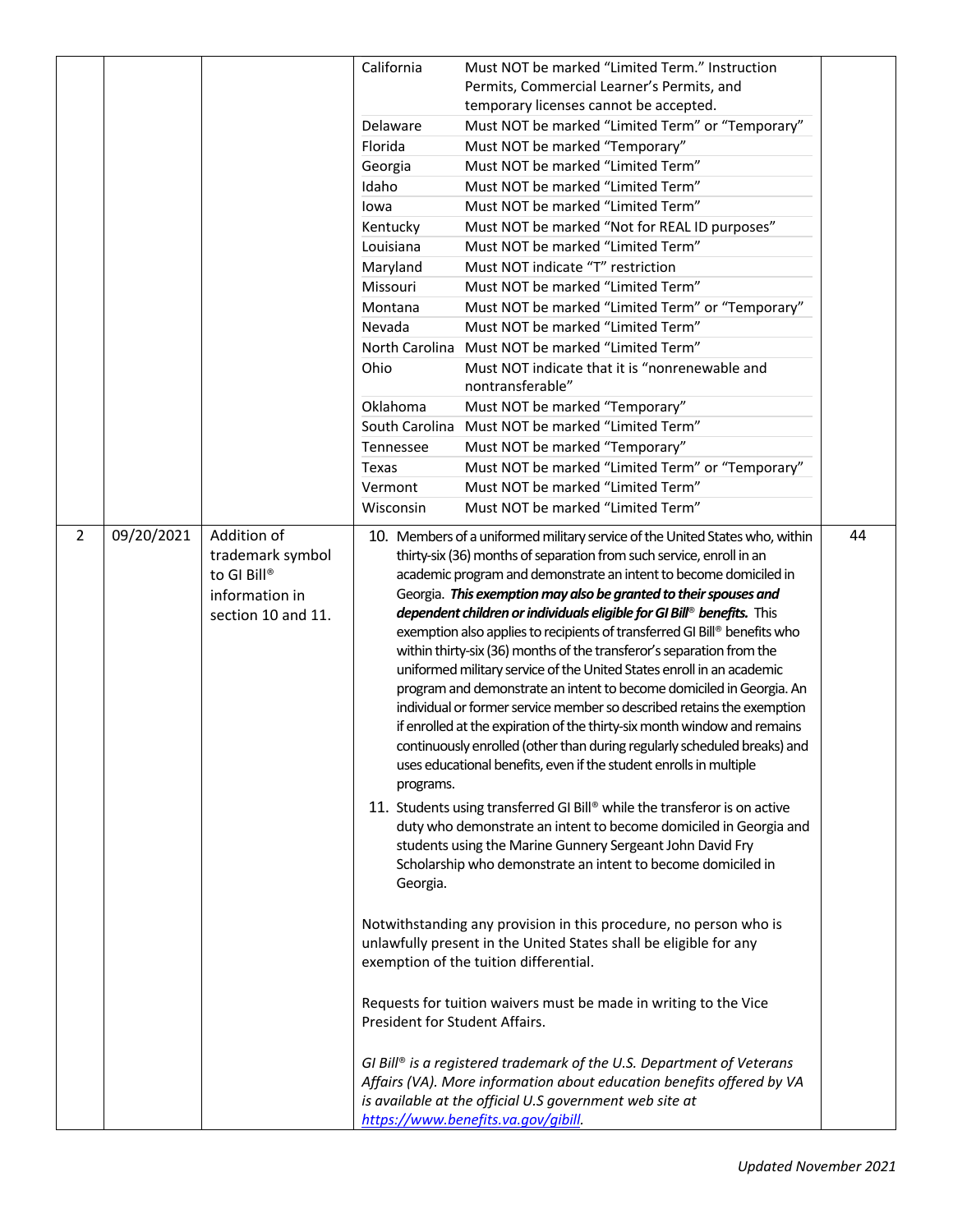|                |            |                    | California                     | Must NOT be marked "Limited Term." Instruction<br>Permits, Commercial Learner's Permits, and                                                  |    |
|----------------|------------|--------------------|--------------------------------|-----------------------------------------------------------------------------------------------------------------------------------------------|----|
|                |            |                    |                                | temporary licenses cannot be accepted.                                                                                                        |    |
|                |            |                    | Delaware                       | Must NOT be marked "Limited Term" or "Temporary"                                                                                              |    |
|                |            |                    | Florida                        | Must NOT be marked "Temporary"                                                                                                                |    |
|                |            |                    | Georgia                        | Must NOT be marked "Limited Term"                                                                                                             |    |
|                |            |                    | Idaho                          | Must NOT be marked "Limited Term"                                                                                                             |    |
|                |            |                    | lowa                           | Must NOT be marked "Limited Term"                                                                                                             |    |
|                |            |                    | Kentucky                       | Must NOT be marked "Not for REAL ID purposes"                                                                                                 |    |
|                |            |                    | Louisiana                      | Must NOT be marked "Limited Term"                                                                                                             |    |
|                |            |                    | Maryland                       | Must NOT indicate "T" restriction                                                                                                             |    |
|                |            |                    | Missouri                       | Must NOT be marked "Limited Term"                                                                                                             |    |
|                |            |                    | Montana                        | Must NOT be marked "Limited Term" or "Temporary"                                                                                              |    |
|                |            |                    | Nevada                         | Must NOT be marked "Limited Term"                                                                                                             |    |
|                |            |                    | North Carolina                 | Must NOT be marked "Limited Term"                                                                                                             |    |
|                |            |                    | Ohio                           | Must NOT indicate that it is "nonrenewable and                                                                                                |    |
|                |            |                    |                                | nontransferable"                                                                                                                              |    |
|                |            |                    | Oklahoma                       | Must NOT be marked "Temporary"                                                                                                                |    |
|                |            |                    | South Carolina                 | Must NOT be marked "Limited Term"                                                                                                             |    |
|                |            |                    | Tennessee                      | Must NOT be marked "Temporary"                                                                                                                |    |
|                |            |                    | Texas                          | Must NOT be marked "Limited Term" or "Temporary"                                                                                              |    |
|                |            |                    | Vermont                        | Must NOT be marked "Limited Term"                                                                                                             |    |
|                |            |                    | Wisconsin                      | Must NOT be marked "Limited Term"                                                                                                             |    |
| $\overline{2}$ | 09/20/2021 | Addition of        |                                | 10. Members of a uniformed military service of the United States who, within                                                                  | 44 |
|                |            | trademark symbol   |                                | thirty-six (36) months of separation from such service, enroll in an                                                                          |    |
|                |            | to GI Bill®        |                                | academic program and demonstrate an intent to become domiciled in                                                                             |    |
|                |            | information in     |                                | Georgia. This exemption may also be granted to their spouses and                                                                              |    |
|                |            | section 10 and 11. |                                | dependent children or individuals eligible for GI Bill® benefits. This                                                                        |    |
|                |            |                    |                                | exemption also applies to recipients of transferred GI Bill® benefits who                                                                     |    |
|                |            |                    |                                | within thirty-six (36) months of the transferor's separation from the                                                                         |    |
|                |            |                    |                                | uniformed military service of the United States enroll in an academic<br>program and demonstrate an intent to become domiciled in Georgia. An |    |
|                |            |                    |                                | individual or former service member so described retains the exemption                                                                        |    |
|                |            |                    |                                | if enrolled at the expiration of the thirty-six month window and remains                                                                      |    |
|                |            |                    |                                | continuously enrolled (other than during regularly scheduled breaks) and                                                                      |    |
|                |            |                    |                                | uses educational benefits, even if the student enrolls in multiple                                                                            |    |
|                |            |                    | programs.                      |                                                                                                                                               |    |
|                |            |                    |                                | 11. Students using transferred GI Bill® while the transferor is on active                                                                     |    |
|                |            |                    |                                | duty who demonstrate an intent to become domiciled in Georgia and                                                                             |    |
|                |            |                    |                                | students using the Marine Gunnery Sergeant John David Fry                                                                                     |    |
|                |            |                    |                                | Scholarship who demonstrate an intent to become domiciled in                                                                                  |    |
|                |            |                    | Georgia.                       |                                                                                                                                               |    |
|                |            |                    |                                |                                                                                                                                               |    |
|                |            |                    |                                | Notwithstanding any provision in this procedure, no person who is                                                                             |    |
|                |            |                    |                                | unlawfully present in the United States shall be eligible for any                                                                             |    |
|                |            |                    |                                | exemption of the tuition differential.                                                                                                        |    |
|                |            |                    |                                |                                                                                                                                               |    |
|                |            |                    |                                | Requests for tuition waivers must be made in writing to the Vice                                                                              |    |
|                |            |                    | President for Student Affairs. |                                                                                                                                               |    |
|                |            |                    |                                |                                                                                                                                               |    |
|                |            |                    |                                | GI Bill® is a registered trademark of the U.S. Department of Veterans                                                                         |    |
|                |            |                    |                                | Affairs (VA). More information about education benefits offered by VA                                                                         |    |
|                |            |                    |                                | is available at the official U.S government web site at                                                                                       |    |
|                |            |                    |                                | https://www.benefits.va.gov/gibill                                                                                                            |    |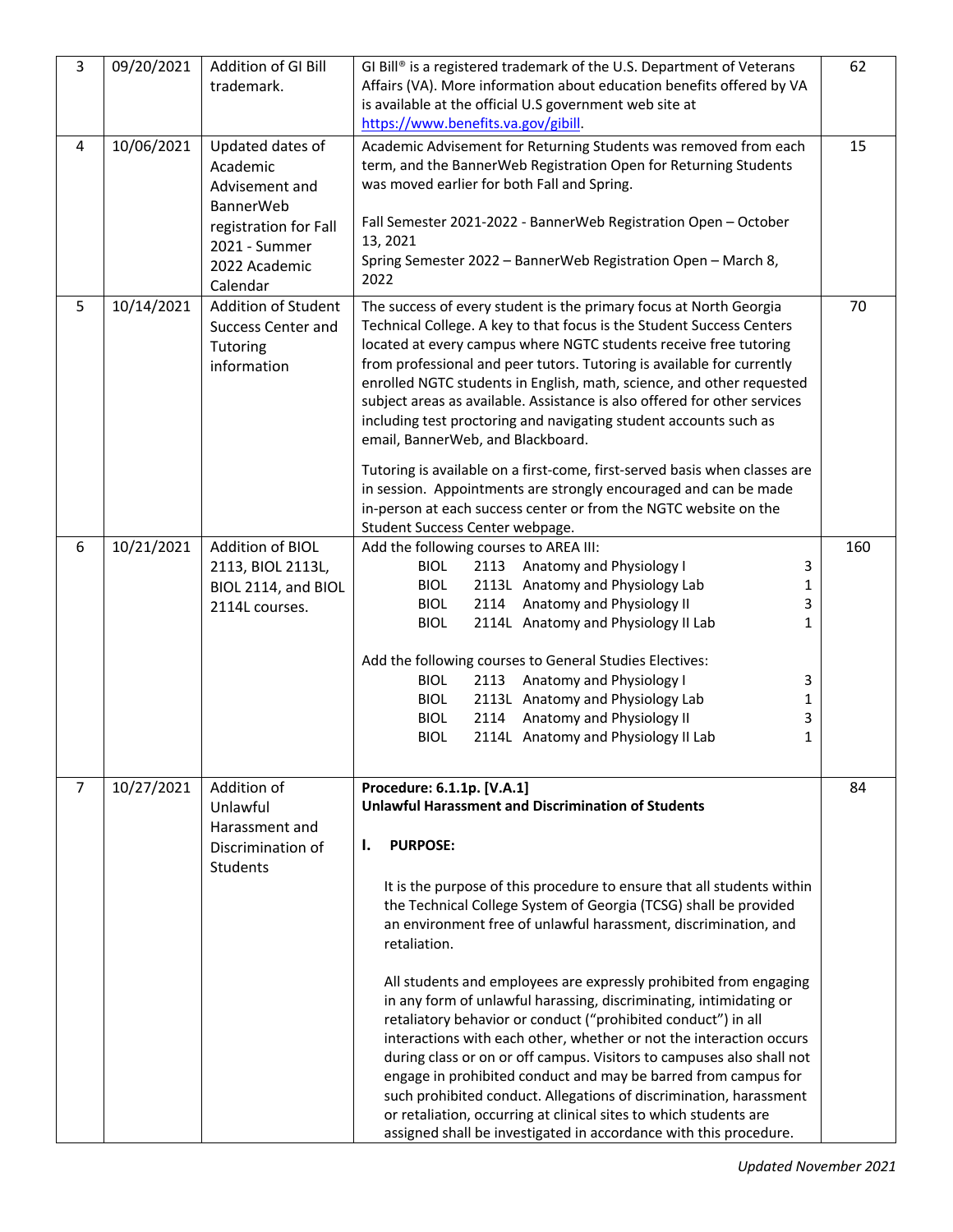| 3              | 09/20/2021 | Addition of GI Bill<br>trademark.                                                                                             | GI Bill® is a registered trademark of the U.S. Department of Veterans<br>Affairs (VA). More information about education benefits offered by VA<br>is available at the official U.S government web site at<br>https://www.benefits.va.gov/gibill.                                                                                                                                                                                                                                                                                                                                                                                                                                                                                                                                                                                                                                                                                                                                                | 62  |
|----------------|------------|-------------------------------------------------------------------------------------------------------------------------------|-------------------------------------------------------------------------------------------------------------------------------------------------------------------------------------------------------------------------------------------------------------------------------------------------------------------------------------------------------------------------------------------------------------------------------------------------------------------------------------------------------------------------------------------------------------------------------------------------------------------------------------------------------------------------------------------------------------------------------------------------------------------------------------------------------------------------------------------------------------------------------------------------------------------------------------------------------------------------------------------------|-----|
| 4              | 10/06/2021 | Updated dates of<br>Academic<br>Advisement and<br><b>BannerWeb</b><br>registration for Fall<br>2021 - Summer<br>2022 Academic | Academic Advisement for Returning Students was removed from each<br>term, and the BannerWeb Registration Open for Returning Students<br>was moved earlier for both Fall and Spring.<br>Fall Semester 2021-2022 - BannerWeb Registration Open - October<br>13, 2021<br>Spring Semester 2022 - BannerWeb Registration Open - March 8,                                                                                                                                                                                                                                                                                                                                                                                                                                                                                                                                                                                                                                                             | 15  |
| 5              | 10/14/2021 | Calendar<br>Addition of Student                                                                                               | 2022<br>The success of every student is the primary focus at North Georgia                                                                                                                                                                                                                                                                                                                                                                                                                                                                                                                                                                                                                                                                                                                                                                                                                                                                                                                      | 70  |
|                |            | <b>Success Center and</b><br>Tutoring<br>information                                                                          | Technical College. A key to that focus is the Student Success Centers<br>located at every campus where NGTC students receive free tutoring<br>from professional and peer tutors. Tutoring is available for currently<br>enrolled NGTC students in English, math, science, and other requested<br>subject areas as available. Assistance is also offered for other services<br>including test proctoring and navigating student accounts such as<br>email, BannerWeb, and Blackboard.<br>Tutoring is available on a first-come, first-served basis when classes are<br>in session. Appointments are strongly encouraged and can be made<br>in-person at each success center or from the NGTC website on the<br>Student Success Center webpage.                                                                                                                                                                                                                                                   |     |
| 6              | 10/21/2021 | Addition of BIOL                                                                                                              | Add the following courses to AREA III:                                                                                                                                                                                                                                                                                                                                                                                                                                                                                                                                                                                                                                                                                                                                                                                                                                                                                                                                                          | 160 |
|                |            | 2113, BIOL 2113L,<br>BIOL 2114, and BIOL<br>2114L courses.                                                                    | <b>BIOL</b><br>2113 Anatomy and Physiology I<br>3<br>2113L Anatomy and Physiology Lab<br><b>BIOL</b><br>1<br>2114 Anatomy and Physiology II<br>$\overline{3}$<br><b>BIOL</b><br><b>BIOL</b><br>2114L Anatomy and Physiology II Lab<br>1<br>Add the following courses to General Studies Electives:<br><b>BIOL</b><br>2113 Anatomy and Physiology I<br>3<br>2113L Anatomy and Physiology Lab<br><b>BIOL</b><br>$\mathbf{1}$<br>Anatomy and Physiology II<br>3<br><b>BIOL</b><br>2114<br><b>BIOL</b><br>2114L Anatomy and Physiology II Lab<br>$\mathbf{1}$                                                                                                                                                                                                                                                                                                                                                                                                                                       |     |
| $\overline{7}$ | 10/27/2021 | Addition of<br>Unlawful<br>Harassment and<br>Discrimination of<br>Students                                                    | Procedure: 6.1.1p. [V.A.1]<br><b>Unlawful Harassment and Discrimination of Students</b><br><b>PURPOSE:</b><br>ı.<br>It is the purpose of this procedure to ensure that all students within<br>the Technical College System of Georgia (TCSG) shall be provided<br>an environment free of unlawful harassment, discrimination, and<br>retaliation.<br>All students and employees are expressly prohibited from engaging<br>in any form of unlawful harassing, discriminating, intimidating or<br>retaliatory behavior or conduct ("prohibited conduct") in all<br>interactions with each other, whether or not the interaction occurs<br>during class or on or off campus. Visitors to campuses also shall not<br>engage in prohibited conduct and may be barred from campus for<br>such prohibited conduct. Allegations of discrimination, harassment<br>or retaliation, occurring at clinical sites to which students are<br>assigned shall be investigated in accordance with this procedure. | 84  |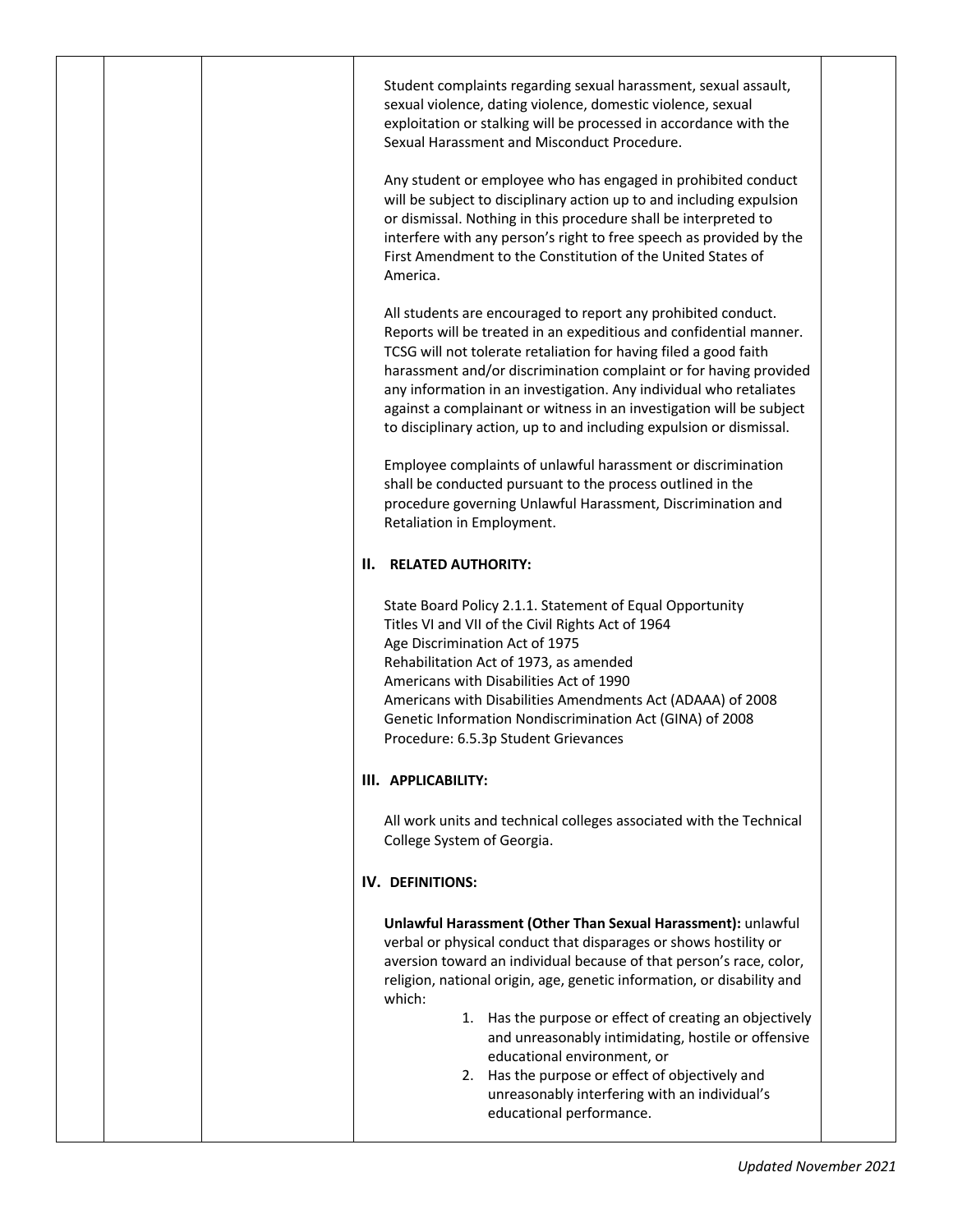|  | Student complaints regarding sexual harassment, sexual assault,<br>sexual violence, dating violence, domestic violence, sexual<br>exploitation or stalking will be processed in accordance with the<br>Sexual Harassment and Misconduct Procedure.<br>Any student or employee who has engaged in prohibited conduct<br>will be subject to disciplinary action up to and including expulsion<br>or dismissal. Nothing in this procedure shall be interpreted to<br>interfere with any person's right to free speech as provided by the                                        |
|--|------------------------------------------------------------------------------------------------------------------------------------------------------------------------------------------------------------------------------------------------------------------------------------------------------------------------------------------------------------------------------------------------------------------------------------------------------------------------------------------------------------------------------------------------------------------------------|
|  | First Amendment to the Constitution of the United States of<br>America.<br>All students are encouraged to report any prohibited conduct.<br>Reports will be treated in an expeditious and confidential manner.<br>TCSG will not tolerate retaliation for having filed a good faith<br>harassment and/or discrimination complaint or for having provided<br>any information in an investigation. Any individual who retaliates                                                                                                                                                |
|  | against a complainant or witness in an investigation will be subject<br>to disciplinary action, up to and including expulsion or dismissal.<br>Employee complaints of unlawful harassment or discrimination<br>shall be conducted pursuant to the process outlined in the<br>procedure governing Unlawful Harassment, Discrimination and<br>Retaliation in Employment.                                                                                                                                                                                                       |
|  | <b>II. RELATED AUTHORITY:</b>                                                                                                                                                                                                                                                                                                                                                                                                                                                                                                                                                |
|  | State Board Policy 2.1.1. Statement of Equal Opportunity<br>Titles VI and VII of the Civil Rights Act of 1964<br>Age Discrimination Act of 1975<br>Rehabilitation Act of 1973, as amended<br>Americans with Disabilities Act of 1990<br>Americans with Disabilities Amendments Act (ADAAA) of 2008<br>Genetic Information Nondiscrimination Act (GINA) of 2008<br>Procedure: 6.5.3p Student Grievances                                                                                                                                                                       |
|  | III. APPLICABILITY:                                                                                                                                                                                                                                                                                                                                                                                                                                                                                                                                                          |
|  | All work units and technical colleges associated with the Technical<br>College System of Georgia.                                                                                                                                                                                                                                                                                                                                                                                                                                                                            |
|  | <b>IV. DEFINITIONS:</b>                                                                                                                                                                                                                                                                                                                                                                                                                                                                                                                                                      |
|  | Unlawful Harassment (Other Than Sexual Harassment): unlawful<br>verbal or physical conduct that disparages or shows hostility or<br>aversion toward an individual because of that person's race, color,<br>religion, national origin, age, genetic information, or disability and<br>which:<br>1. Has the purpose or effect of creating an objectively<br>and unreasonably intimidating, hostile or offensive<br>educational environment, or<br>2. Has the purpose or effect of objectively and<br>unreasonably interfering with an individual's<br>educational performance. |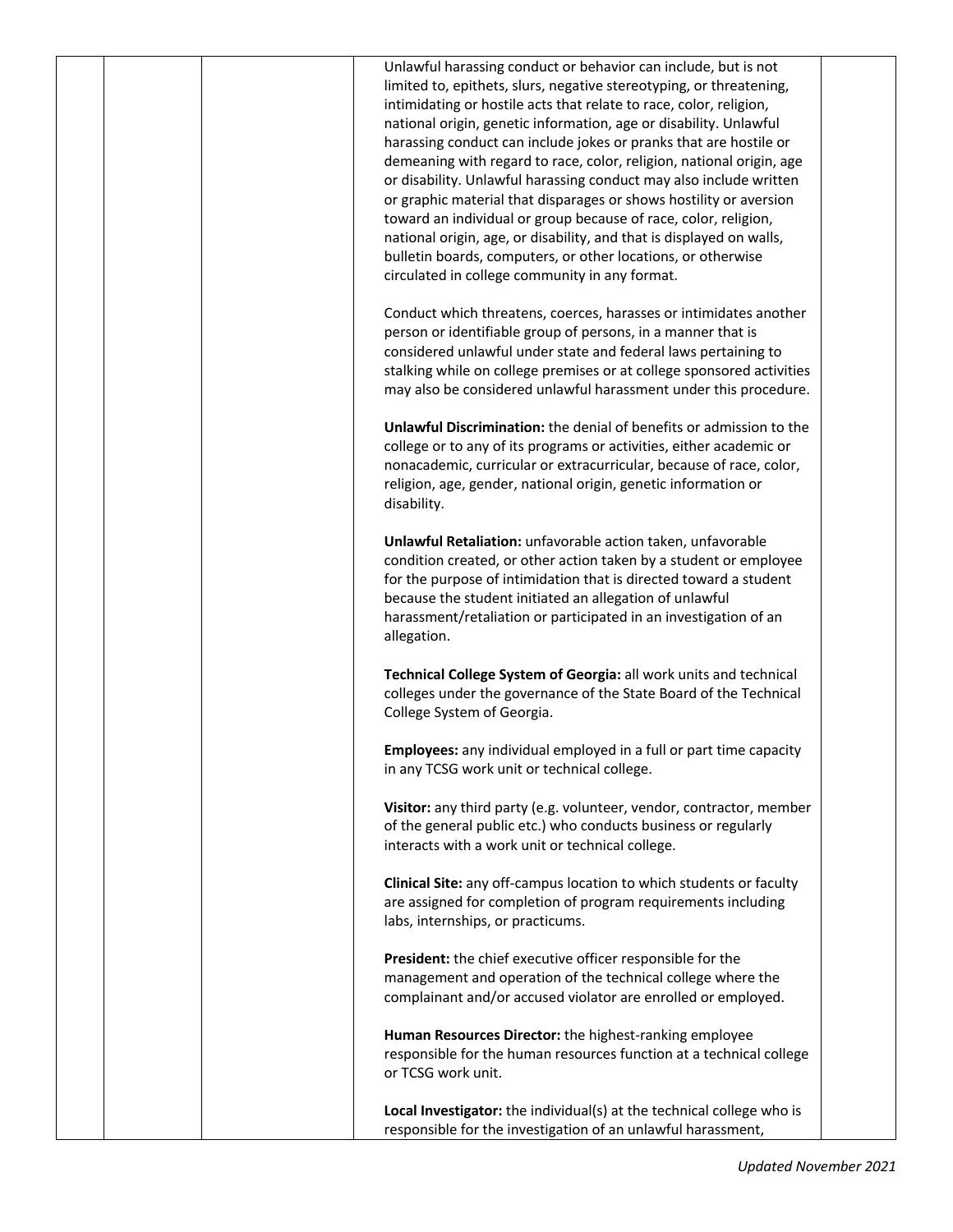|  | Unlawful harassing conduct or behavior can include, but is not        |  |
|--|-----------------------------------------------------------------------|--|
|  | limited to, epithets, slurs, negative stereotyping, or threatening,   |  |
|  | intimidating or hostile acts that relate to race, color, religion,    |  |
|  | national origin, genetic information, age or disability. Unlawful     |  |
|  |                                                                       |  |
|  | harassing conduct can include jokes or pranks that are hostile or     |  |
|  | demeaning with regard to race, color, religion, national origin, age  |  |
|  | or disability. Unlawful harassing conduct may also include written    |  |
|  | or graphic material that disparages or shows hostility or aversion    |  |
|  | toward an individual or group because of race, color, religion,       |  |
|  | national origin, age, or disability, and that is displayed on walls,  |  |
|  | bulletin boards, computers, or other locations, or otherwise          |  |
|  | circulated in college community in any format.                        |  |
|  |                                                                       |  |
|  | Conduct which threatens, coerces, harasses or intimidates another     |  |
|  | person or identifiable group of persons, in a manner that is          |  |
|  | considered unlawful under state and federal laws pertaining to        |  |
|  |                                                                       |  |
|  | stalking while on college premises or at college sponsored activities |  |
|  | may also be considered unlawful harassment under this procedure.      |  |
|  |                                                                       |  |
|  | Unlawful Discrimination: the denial of benefits or admission to the   |  |
|  | college or to any of its programs or activities, either academic or   |  |
|  | nonacademic, curricular or extracurricular, because of race, color,   |  |
|  | religion, age, gender, national origin, genetic information or        |  |
|  | disability.                                                           |  |
|  |                                                                       |  |
|  | Unlawful Retaliation: unfavorable action taken, unfavorable           |  |
|  | condition created, or other action taken by a student or employee     |  |
|  | for the purpose of intimidation that is directed toward a student     |  |
|  | because the student initiated an allegation of unlawful               |  |
|  | harassment/retaliation or participated in an investigation of an      |  |
|  | allegation.                                                           |  |
|  |                                                                       |  |
|  | Technical College System of Georgia: all work units and technical     |  |
|  | colleges under the governance of the State Board of the Technical     |  |
|  |                                                                       |  |
|  | College System of Georgia.                                            |  |
|  |                                                                       |  |
|  | Employees: any individual employed in a full or part time capacity    |  |
|  | in any TCSG work unit or technical college.                           |  |
|  |                                                                       |  |
|  | Visitor: any third party (e.g. volunteer, vendor, contractor, member  |  |
|  | of the general public etc.) who conducts business or regularly        |  |
|  | interacts with a work unit or technical college.                      |  |
|  |                                                                       |  |
|  | Clinical Site: any off-campus location to which students or faculty   |  |
|  | are assigned for completion of program requirements including         |  |
|  | labs, internships, or practicums.                                     |  |
|  |                                                                       |  |
|  | President: the chief executive officer responsible for the            |  |
|  | management and operation of the technical college where the           |  |
|  | complainant and/or accused violator are enrolled or employed.         |  |
|  |                                                                       |  |
|  | Human Resources Director: the highest-ranking employee                |  |
|  | responsible for the human resources function at a technical college   |  |
|  | or TCSG work unit.                                                    |  |
|  |                                                                       |  |
|  |                                                                       |  |
|  | Local Investigator: the individual(s) at the technical college who is |  |
|  | responsible for the investigation of an unlawful harassment,          |  |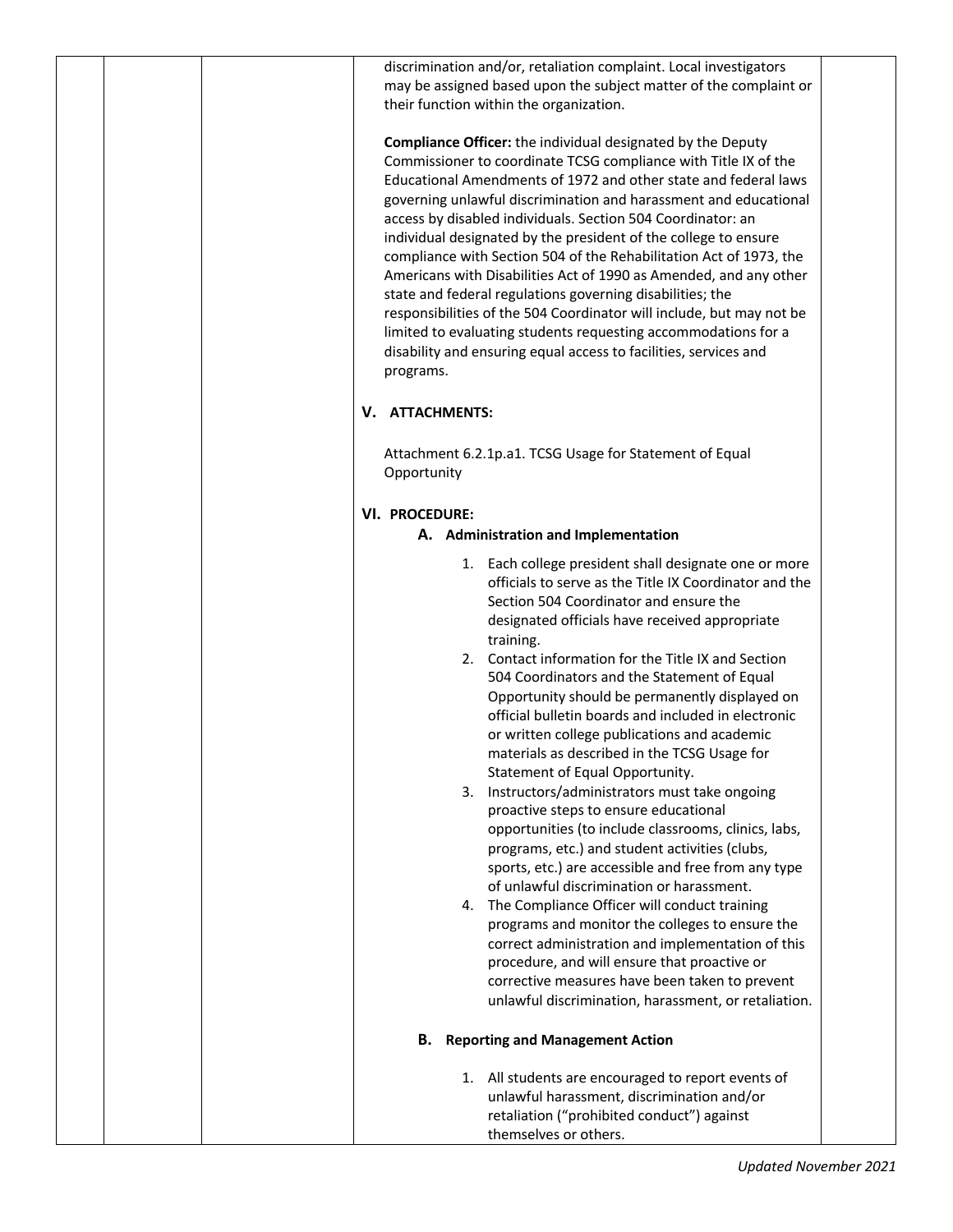|  |                       | discrimination and/or, retaliation complaint. Local investigators<br>may be assigned based upon the subject matter of the complaint or<br>their function within the organization.                                                                                                                                                                                                                                                                                                                                                                                                                                                                                                                                                                                                                                                       |  |
|--|-----------------------|-----------------------------------------------------------------------------------------------------------------------------------------------------------------------------------------------------------------------------------------------------------------------------------------------------------------------------------------------------------------------------------------------------------------------------------------------------------------------------------------------------------------------------------------------------------------------------------------------------------------------------------------------------------------------------------------------------------------------------------------------------------------------------------------------------------------------------------------|--|
|  | programs.             | <b>Compliance Officer:</b> the individual designated by the Deputy<br>Commissioner to coordinate TCSG compliance with Title IX of the<br>Educational Amendments of 1972 and other state and federal laws<br>governing unlawful discrimination and harassment and educational<br>access by disabled individuals. Section 504 Coordinator: an<br>individual designated by the president of the college to ensure<br>compliance with Section 504 of the Rehabilitation Act of 1973, the<br>Americans with Disabilities Act of 1990 as Amended, and any other<br>state and federal regulations governing disabilities; the<br>responsibilities of the 504 Coordinator will include, but may not be<br>limited to evaluating students requesting accommodations for a<br>disability and ensuring equal access to facilities, services and    |  |
|  | V. ATTACHMENTS:       |                                                                                                                                                                                                                                                                                                                                                                                                                                                                                                                                                                                                                                                                                                                                                                                                                                         |  |
|  | Opportunity           | Attachment 6.2.1p.a1. TCSG Usage for Statement of Equal                                                                                                                                                                                                                                                                                                                                                                                                                                                                                                                                                                                                                                                                                                                                                                                 |  |
|  | <b>VI. PROCEDURE:</b> |                                                                                                                                                                                                                                                                                                                                                                                                                                                                                                                                                                                                                                                                                                                                                                                                                                         |  |
|  |                       | A. Administration and Implementation                                                                                                                                                                                                                                                                                                                                                                                                                                                                                                                                                                                                                                                                                                                                                                                                    |  |
|  |                       | 1. Each college president shall designate one or more<br>officials to serve as the Title IX Coordinator and the<br>Section 504 Coordinator and ensure the<br>designated officials have received appropriate<br>training.<br>2. Contact information for the Title IX and Section<br>504 Coordinators and the Statement of Equal<br>Opportunity should be permanently displayed on<br>official bulletin boards and included in electronic<br>or written college publications and academic<br>materials as described in the TCSG Usage for<br>Statement of Equal Opportunity.<br>3. Instructors/administrators must take ongoing<br>proactive steps to ensure educational<br>opportunities (to include classrooms, clinics, labs,<br>programs, etc.) and student activities (clubs,<br>sports, etc.) are accessible and free from any type |  |
|  |                       | of unlawful discrimination or harassment.<br>4. The Compliance Officer will conduct training<br>programs and monitor the colleges to ensure the<br>correct administration and implementation of this<br>procedure, and will ensure that proactive or<br>corrective measures have been taken to prevent                                                                                                                                                                                                                                                                                                                                                                                                                                                                                                                                  |  |
|  |                       | unlawful discrimination, harassment, or retaliation.                                                                                                                                                                                                                                                                                                                                                                                                                                                                                                                                                                                                                                                                                                                                                                                    |  |
|  |                       | <b>B.</b> Reporting and Management Action                                                                                                                                                                                                                                                                                                                                                                                                                                                                                                                                                                                                                                                                                                                                                                                               |  |
|  |                       | 1. All students are encouraged to report events of<br>unlawful harassment, discrimination and/or<br>retaliation ("prohibited conduct") against<br>themselves or others.                                                                                                                                                                                                                                                                                                                                                                                                                                                                                                                                                                                                                                                                 |  |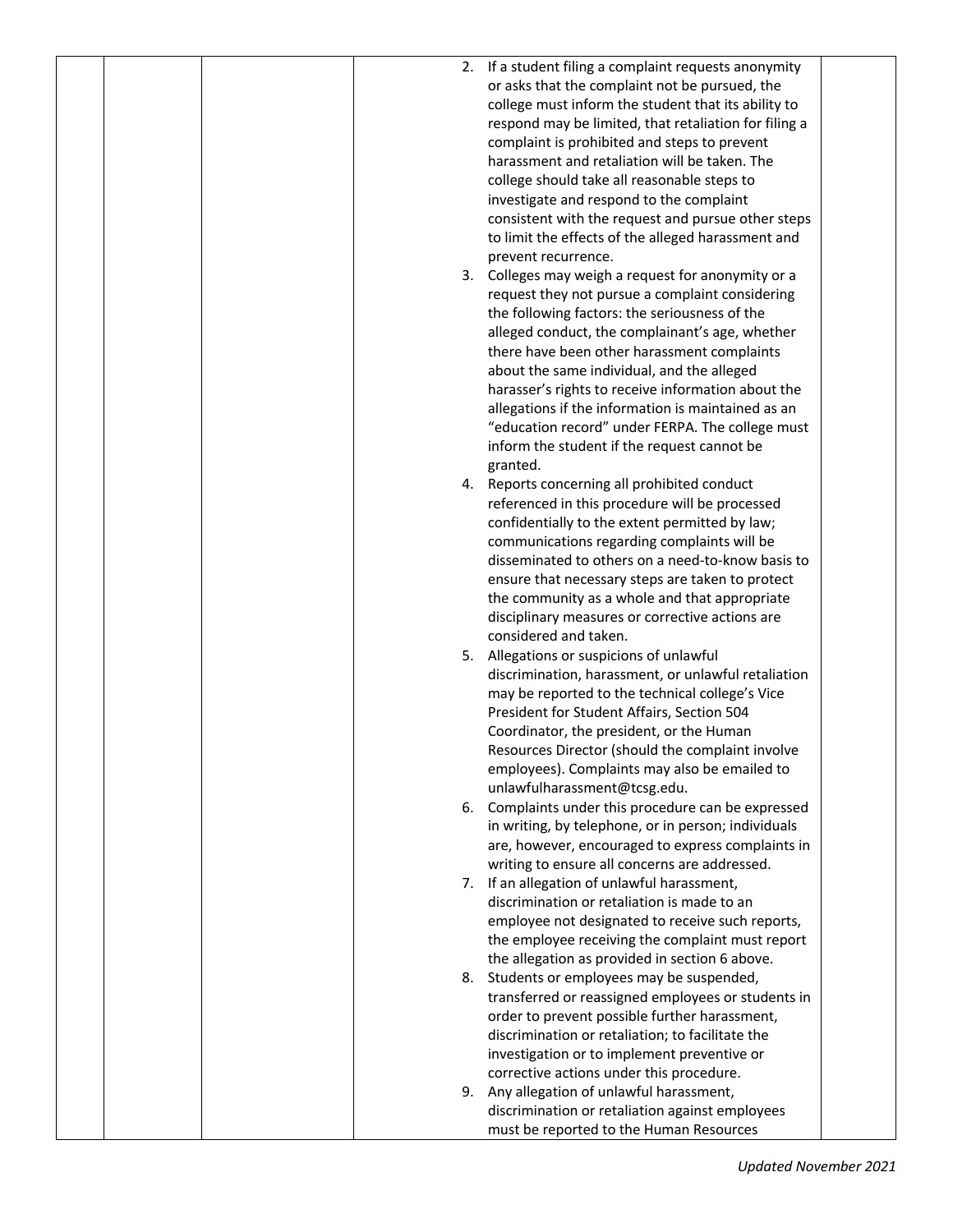|  |  | 2. If a student filing a complaint requests anonymity |  |
|--|--|-------------------------------------------------------|--|
|  |  | or asks that the complaint not be pursued, the        |  |
|  |  | college must inform the student that its ability to   |  |
|  |  |                                                       |  |
|  |  | respond may be limited, that retaliation for filing a |  |
|  |  | complaint is prohibited and steps to prevent          |  |
|  |  | harassment and retaliation will be taken. The         |  |
|  |  | college should take all reasonable steps to           |  |
|  |  | investigate and respond to the complaint              |  |
|  |  | consistent with the request and pursue other steps    |  |
|  |  | to limit the effects of the alleged harassment and    |  |
|  |  | prevent recurrence.                                   |  |
|  |  | 3. Colleges may weigh a request for anonymity or a    |  |
|  |  | request they not pursue a complaint considering       |  |
|  |  | the following factors: the seriousness of the         |  |
|  |  | alleged conduct, the complainant's age, whether       |  |
|  |  | there have been other harassment complaints           |  |
|  |  |                                                       |  |
|  |  | about the same individual, and the alleged            |  |
|  |  | harasser's rights to receive information about the    |  |
|  |  | allegations if the information is maintained as an    |  |
|  |  | "education record" under FERPA. The college must      |  |
|  |  | inform the student if the request cannot be           |  |
|  |  | granted.                                              |  |
|  |  | 4. Reports concerning all prohibited conduct          |  |
|  |  | referenced in this procedure will be processed        |  |
|  |  | confidentially to the extent permitted by law;        |  |
|  |  | communications regarding complaints will be           |  |
|  |  | disseminated to others on a need-to-know basis to     |  |
|  |  | ensure that necessary steps are taken to protect      |  |
|  |  | the community as a whole and that appropriate         |  |
|  |  | disciplinary measures or corrective actions are       |  |
|  |  | considered and taken.                                 |  |
|  |  | 5. Allegations or suspicions of unlawful              |  |
|  |  | discrimination, harassment, or unlawful retaliation   |  |
|  |  | may be reported to the technical college's Vice       |  |
|  |  | President for Student Affairs, Section 504            |  |
|  |  |                                                       |  |
|  |  | Coordinator, the president, or the Human              |  |
|  |  | Resources Director (should the complaint involve      |  |
|  |  | employees). Complaints may also be emailed to         |  |
|  |  | unlawfulharassment@tcsg.edu.                          |  |
|  |  | 6. Complaints under this procedure can be expressed   |  |
|  |  | in writing, by telephone, or in person; individuals   |  |
|  |  | are, however, encouraged to express complaints in     |  |
|  |  | writing to ensure all concerns are addressed.         |  |
|  |  | 7. If an allegation of unlawful harassment,           |  |
|  |  | discrimination or retaliation is made to an           |  |
|  |  | employee not designated to receive such reports,      |  |
|  |  | the employee receiving the complaint must report      |  |
|  |  | the allegation as provided in section 6 above.        |  |
|  |  | 8. Students or employees may be suspended,            |  |
|  |  | transferred or reassigned employees or students in    |  |
|  |  | order to prevent possible further harassment,         |  |
|  |  |                                                       |  |
|  |  | discrimination or retaliation; to facilitate the      |  |
|  |  | investigation or to implement preventive or           |  |
|  |  | corrective actions under this procedure.              |  |
|  |  | 9. Any allegation of unlawful harassment,             |  |
|  |  | discrimination or retaliation against employees       |  |
|  |  | must be reported to the Human Resources               |  |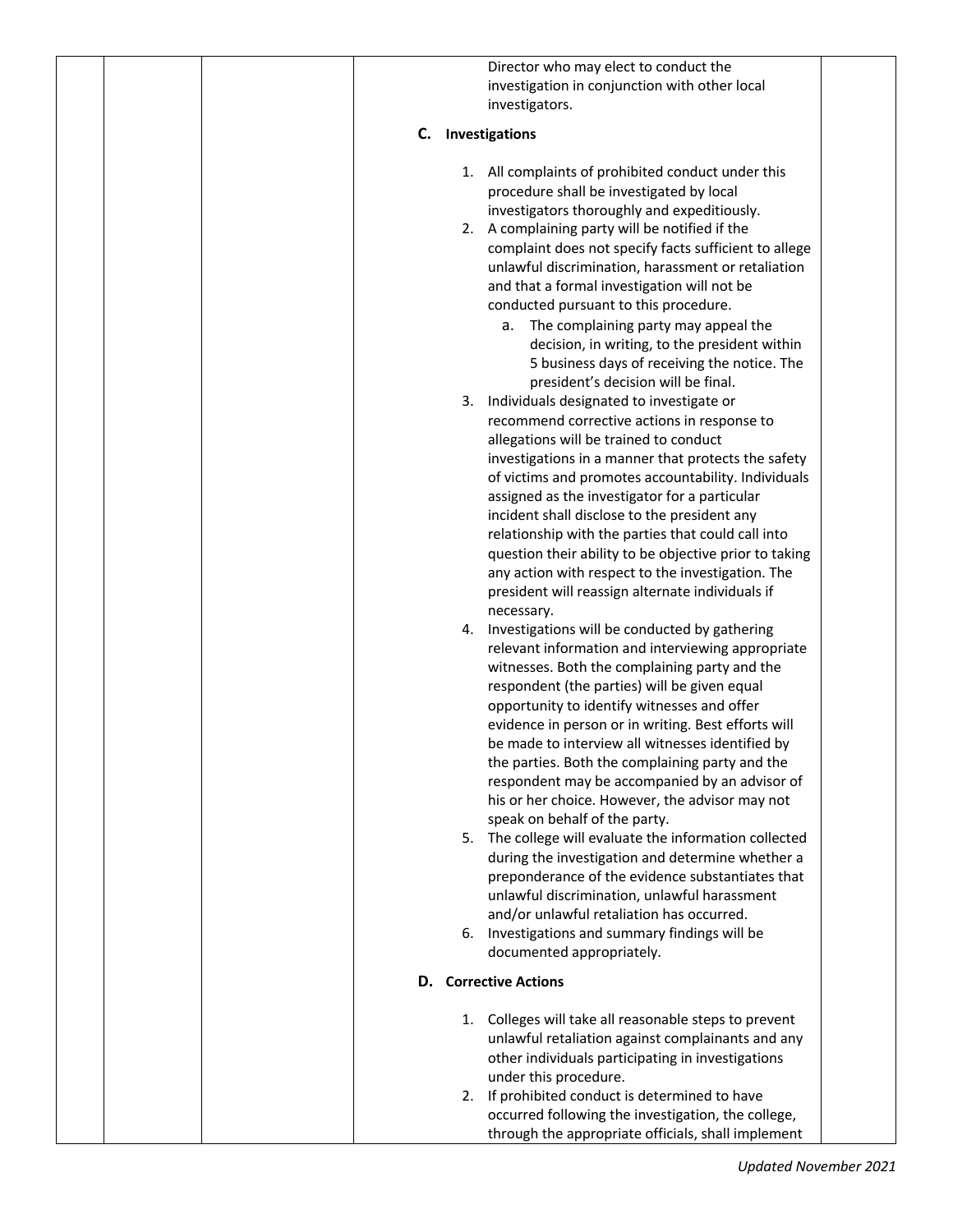|  | Director who may elect to conduct the                                                   |
|--|-----------------------------------------------------------------------------------------|
|  | investigation in conjunction with other local                                           |
|  | investigators.                                                                          |
|  |                                                                                         |
|  | Investigations<br>C.                                                                    |
|  | 1. All complaints of prohibited conduct under this                                      |
|  | procedure shall be investigated by local                                                |
|  | investigators thoroughly and expeditiously.                                             |
|  | 2. A complaining party will be notified if the                                          |
|  | complaint does not specify facts sufficient to allege                                   |
|  | unlawful discrimination, harassment or retaliation                                      |
|  | and that a formal investigation will not be                                             |
|  | conducted pursuant to this procedure.                                                   |
|  | a. The complaining party may appeal the                                                 |
|  | decision, in writing, to the president within                                           |
|  | 5 business days of receiving the notice. The                                            |
|  | president's decision will be final.                                                     |
|  | Individuals designated to investigate or<br>3.                                          |
|  | recommend corrective actions in response to                                             |
|  | allegations will be trained to conduct                                                  |
|  | investigations in a manner that protects the safety                                     |
|  | of victims and promotes accountability. Individuals                                     |
|  | assigned as the investigator for a particular                                           |
|  | incident shall disclose to the president any                                            |
|  | relationship with the parties that could call into                                      |
|  | question their ability to be objective prior to taking                                  |
|  | any action with respect to the investigation. The                                       |
|  | president will reassign alternate individuals if                                        |
|  | necessary.                                                                              |
|  | Investigations will be conducted by gathering<br>4.                                     |
|  | relevant information and interviewing appropriate                                       |
|  | witnesses. Both the complaining party and the                                           |
|  | respondent (the parties) will be given equal                                            |
|  | opportunity to identify witnesses and offer                                             |
|  | evidence in person or in writing. Best efforts will                                     |
|  | be made to interview all witnesses identified by                                        |
|  | the parties. Both the complaining party and the                                         |
|  | respondent may be accompanied by an advisor of                                          |
|  | his or her choice. However, the advisor may not                                         |
|  | speak on behalf of the party.<br>5. The college will evaluate the information collected |
|  | during the investigation and determine whether a                                        |
|  | preponderance of the evidence substantiates that                                        |
|  | unlawful discrimination, unlawful harassment                                            |
|  | and/or unlawful retaliation has occurred.                                               |
|  | 6. Investigations and summary findings will be                                          |
|  | documented appropriately.                                                               |
|  |                                                                                         |
|  | <b>D.</b> Corrective Actions                                                            |
|  | 1. Colleges will take all reasonable steps to prevent                                   |
|  | unlawful retaliation against complainants and any                                       |
|  | other individuals participating in investigations                                       |
|  | under this procedure.                                                                   |
|  | 2. If prohibited conduct is determined to have                                          |
|  | occurred following the investigation, the college,                                      |
|  | through the appropriate officials, shall implement                                      |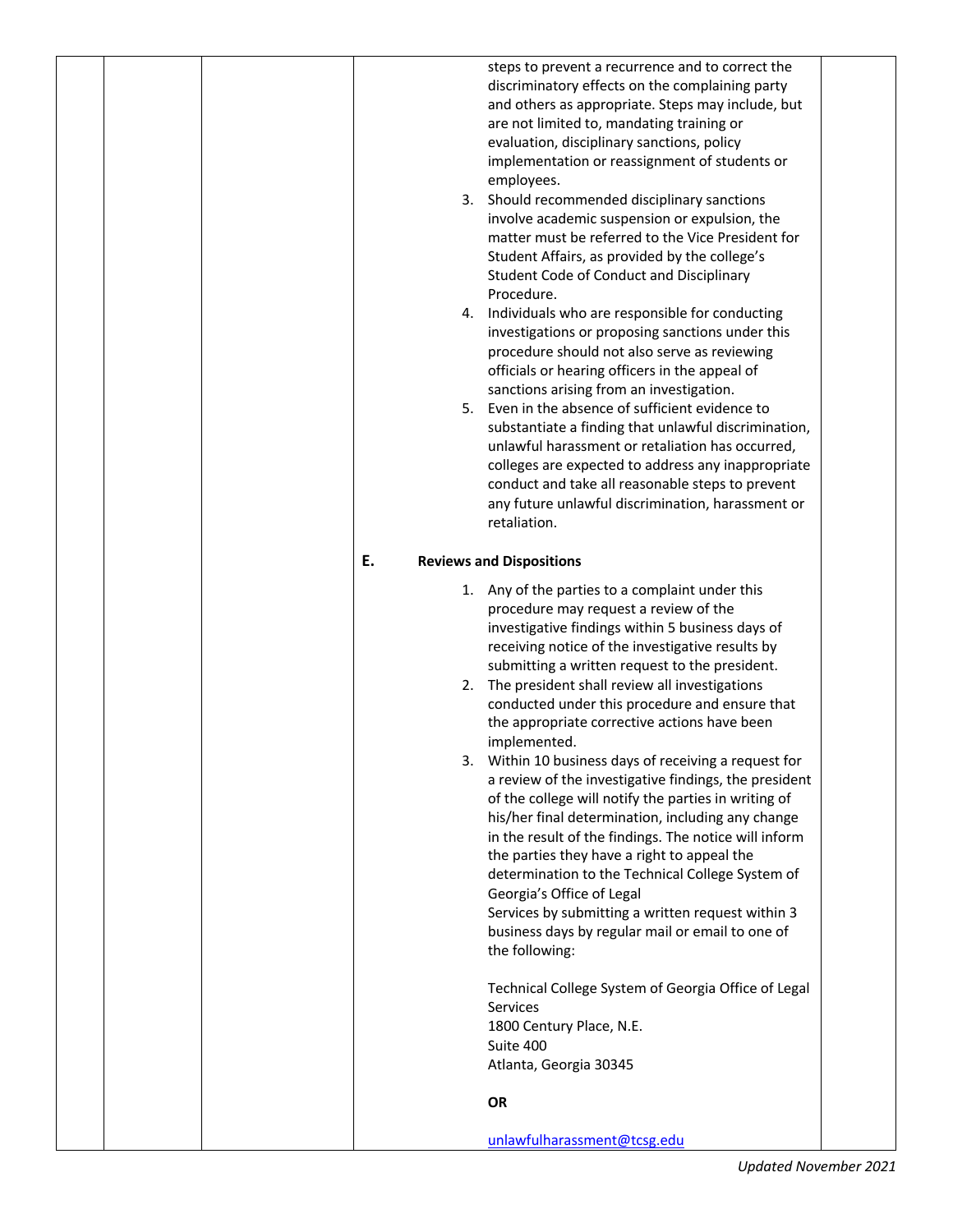|  |    | steps to prevent a recurrence and to correct the<br>discriminatory effects on the complaining party<br>and others as appropriate. Steps may include, but<br>are not limited to, mandating training or<br>evaluation, disciplinary sanctions, policy<br>implementation or reassignment of students or<br>employees.<br>3. Should recommended disciplinary sanctions<br>involve academic suspension or expulsion, the<br>matter must be referred to the Vice President for<br>Student Affairs, as provided by the college's<br>Student Code of Conduct and Disciplinary<br>Procedure.<br>4. Individuals who are responsible for conducting<br>investigations or proposing sanctions under this<br>procedure should not also serve as reviewing<br>officials or hearing officers in the appeal of<br>sanctions arising from an investigation.<br>5. Even in the absence of sufficient evidence to<br>substantiate a finding that unlawful discrimination,<br>unlawful harassment or retaliation has occurred,<br>colleges are expected to address any inappropriate<br>conduct and take all reasonable steps to prevent<br>any future unlawful discrimination, harassment or<br>retaliation. |  |
|--|----|-------------------------------------------------------------------------------------------------------------------------------------------------------------------------------------------------------------------------------------------------------------------------------------------------------------------------------------------------------------------------------------------------------------------------------------------------------------------------------------------------------------------------------------------------------------------------------------------------------------------------------------------------------------------------------------------------------------------------------------------------------------------------------------------------------------------------------------------------------------------------------------------------------------------------------------------------------------------------------------------------------------------------------------------------------------------------------------------------------------------------------------------------------------------------------------------|--|
|  | Ε. | <b>Reviews and Dispositions</b>                                                                                                                                                                                                                                                                                                                                                                                                                                                                                                                                                                                                                                                                                                                                                                                                                                                                                                                                                                                                                                                                                                                                                           |  |
|  |    | 1. Any of the parties to a complaint under this<br>procedure may request a review of the<br>investigative findings within 5 business days of<br>receiving notice of the investigative results by<br>submitting a written request to the president.<br>2. The president shall review all investigations<br>conducted under this procedure and ensure that<br>the appropriate corrective actions have been<br>implemented.<br>3. Within 10 business days of receiving a request for<br>a review of the investigative findings, the president<br>of the college will notify the parties in writing of<br>his/her final determination, including any change<br>in the result of the findings. The notice will inform<br>the parties they have a right to appeal the<br>determination to the Technical College System of<br>Georgia's Office of Legal<br>Services by submitting a written request within 3<br>business days by regular mail or email to one of<br>the following:<br>Technical College System of Georgia Office of Legal<br>Services<br>1800 Century Place, N.E.<br>Suite 400<br>Atlanta, Georgia 30345<br>OR                                                                   |  |
|  |    | unlawfulharassment@tcsg.edu                                                                                                                                                                                                                                                                                                                                                                                                                                                                                                                                                                                                                                                                                                                                                                                                                                                                                                                                                                                                                                                                                                                                                               |  |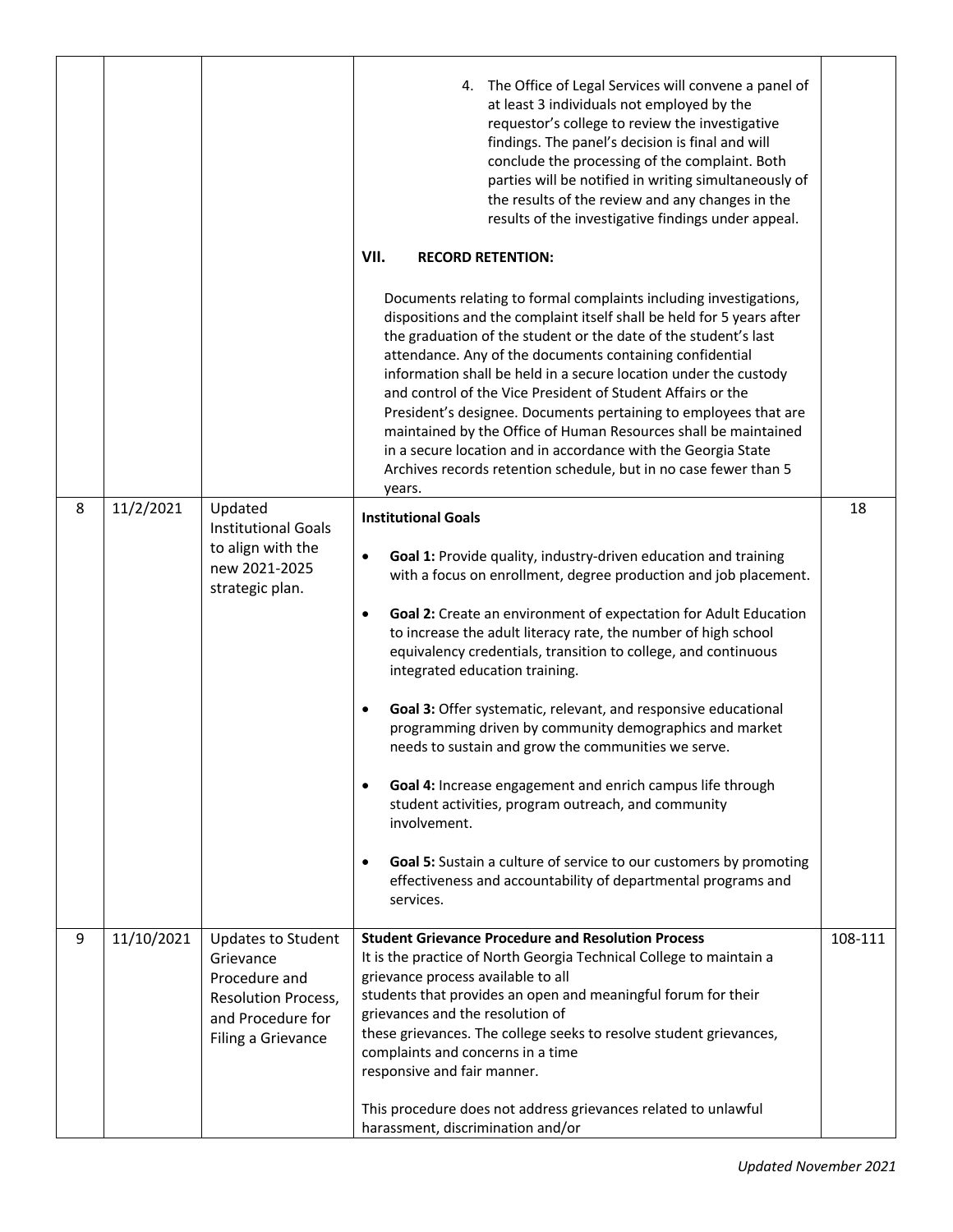|   |            |                                                                                                                                  | 4. The Office of Legal Services will convene a panel of<br>at least 3 individuals not employed by the<br>requestor's college to review the investigative<br>findings. The panel's decision is final and will<br>conclude the processing of the complaint. Both<br>parties will be notified in writing simultaneously of<br>the results of the review and any changes in the<br>results of the investigative findings under appeal.<br>VII.<br><b>RECORD RETENTION:</b><br>Documents relating to formal complaints including investigations,<br>dispositions and the complaint itself shall be held for 5 years after<br>the graduation of the student or the date of the student's last<br>attendance. Any of the documents containing confidential<br>information shall be held in a secure location under the custody<br>and control of the Vice President of Student Affairs or the                                                                    |         |
|---|------------|----------------------------------------------------------------------------------------------------------------------------------|-----------------------------------------------------------------------------------------------------------------------------------------------------------------------------------------------------------------------------------------------------------------------------------------------------------------------------------------------------------------------------------------------------------------------------------------------------------------------------------------------------------------------------------------------------------------------------------------------------------------------------------------------------------------------------------------------------------------------------------------------------------------------------------------------------------------------------------------------------------------------------------------------------------------------------------------------------------|---------|
|   |            |                                                                                                                                  | President's designee. Documents pertaining to employees that are<br>maintained by the Office of Human Resources shall be maintained<br>in a secure location and in accordance with the Georgia State<br>Archives records retention schedule, but in no case fewer than 5                                                                                                                                                                                                                                                                                                                                                                                                                                                                                                                                                                                                                                                                                  |         |
| 8 | 11/2/2021  | Updated                                                                                                                          | years.                                                                                                                                                                                                                                                                                                                                                                                                                                                                                                                                                                                                                                                                                                                                                                                                                                                                                                                                                    | 18      |
|   |            | <b>Institutional Goals</b><br>to align with the<br>new 2021-2025<br>strategic plan.                                              | <b>Institutional Goals</b><br>Goal 1: Provide quality, industry-driven education and training<br>$\bullet$<br>with a focus on enrollment, degree production and job placement.<br>Goal 2: Create an environment of expectation for Adult Education<br>$\bullet$<br>to increase the adult literacy rate, the number of high school<br>equivalency credentials, transition to college, and continuous<br>integrated education training.<br>Goal 3: Offer systematic, relevant, and responsive educational<br>$\bullet$<br>programming driven by community demographics and market<br>needs to sustain and grow the communities we serve.<br>Goal 4: Increase engagement and enrich campus life through<br>$\bullet$<br>student activities, program outreach, and community<br>involvement.<br>Goal 5: Sustain a culture of service to our customers by promoting<br>$\bullet$<br>effectiveness and accountability of departmental programs and<br>services. |         |
| 9 | 11/10/2021 | <b>Updates to Student</b><br>Grievance<br>Procedure and<br><b>Resolution Process,</b><br>and Procedure for<br>Filing a Grievance | <b>Student Grievance Procedure and Resolution Process</b><br>It is the practice of North Georgia Technical College to maintain a<br>grievance process available to all<br>students that provides an open and meaningful forum for their<br>grievances and the resolution of<br>these grievances. The college seeks to resolve student grievances,<br>complaints and concerns in a time<br>responsive and fair manner.<br>This procedure does not address grievances related to unlawful<br>harassment, discrimination and/or                                                                                                                                                                                                                                                                                                                                                                                                                              | 108-111 |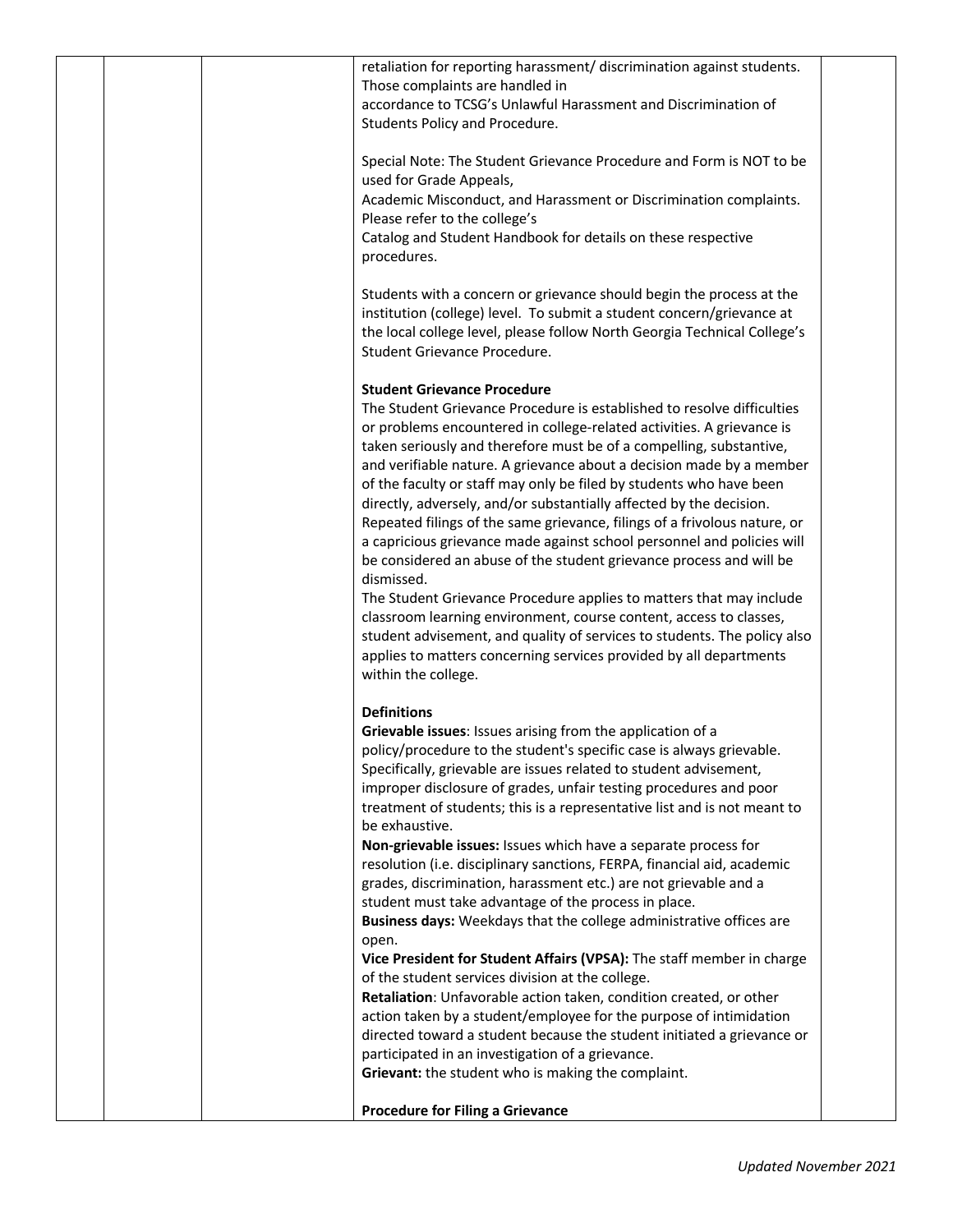|  | retaliation for reporting harassment/ discrimination against students.    |  |
|--|---------------------------------------------------------------------------|--|
|  | Those complaints are handled in                                           |  |
|  | accordance to TCSG's Unlawful Harassment and Discrimination of            |  |
|  |                                                                           |  |
|  | Students Policy and Procedure.                                            |  |
|  | Special Note: The Student Grievance Procedure and Form is NOT to be       |  |
|  | used for Grade Appeals,                                                   |  |
|  | Academic Misconduct, and Harassment or Discrimination complaints.         |  |
|  | Please refer to the college's                                             |  |
|  | Catalog and Student Handbook for details on these respective              |  |
|  | procedures.                                                               |  |
|  |                                                                           |  |
|  | Students with a concern or grievance should begin the process at the      |  |
|  | institution (college) level. To submit a student concern/grievance at     |  |
|  | the local college level, please follow North Georgia Technical College's  |  |
|  | Student Grievance Procedure.                                              |  |
|  |                                                                           |  |
|  | <b>Student Grievance Procedure</b>                                        |  |
|  | The Student Grievance Procedure is established to resolve difficulties    |  |
|  | or problems encountered in college-related activities. A grievance is     |  |
|  | taken seriously and therefore must be of a compelling, substantive,       |  |
|  | and verifiable nature. A grievance about a decision made by a member      |  |
|  | of the faculty or staff may only be filed by students who have been       |  |
|  | directly, adversely, and/or substantially affected by the decision.       |  |
|  | Repeated filings of the same grievance, filings of a frivolous nature, or |  |
|  | a capricious grievance made against school personnel and policies will    |  |
|  | be considered an abuse of the student grievance process and will be       |  |
|  | dismissed.                                                                |  |
|  | The Student Grievance Procedure applies to matters that may include       |  |
|  | classroom learning environment, course content, access to classes,        |  |
|  | student advisement, and quality of services to students. The policy also  |  |
|  | applies to matters concerning services provided by all departments        |  |
|  | within the college.                                                       |  |
|  | <b>Definitions</b>                                                        |  |
|  | Grievable issues: Issues arising from the application of a                |  |
|  | policy/procedure to the student's specific case is always grievable.      |  |
|  | Specifically, grievable are issues related to student advisement,         |  |
|  | improper disclosure of grades, unfair testing procedures and poor         |  |
|  | treatment of students; this is a representative list and is not meant to  |  |
|  | be exhaustive.                                                            |  |
|  | Non-grievable issues: Issues which have a separate process for            |  |
|  | resolution (i.e. disciplinary sanctions, FERPA, financial aid, academic   |  |
|  | grades, discrimination, harassment etc.) are not grievable and a          |  |
|  | student must take advantage of the process in place.                      |  |
|  | Business days: Weekdays that the college administrative offices are       |  |
|  | open.                                                                     |  |
|  | Vice President for Student Affairs (VPSA): The staff member in charge     |  |
|  | of the student services division at the college.                          |  |
|  | Retaliation: Unfavorable action taken, condition created, or other        |  |
|  | action taken by a student/employee for the purpose of intimidation        |  |
|  | directed toward a student because the student initiated a grievance or    |  |
|  | participated in an investigation of a grievance.                          |  |
|  | Grievant: the student who is making the complaint.                        |  |
|  | <b>Procedure for Filing a Grievance</b>                                   |  |
|  |                                                                           |  |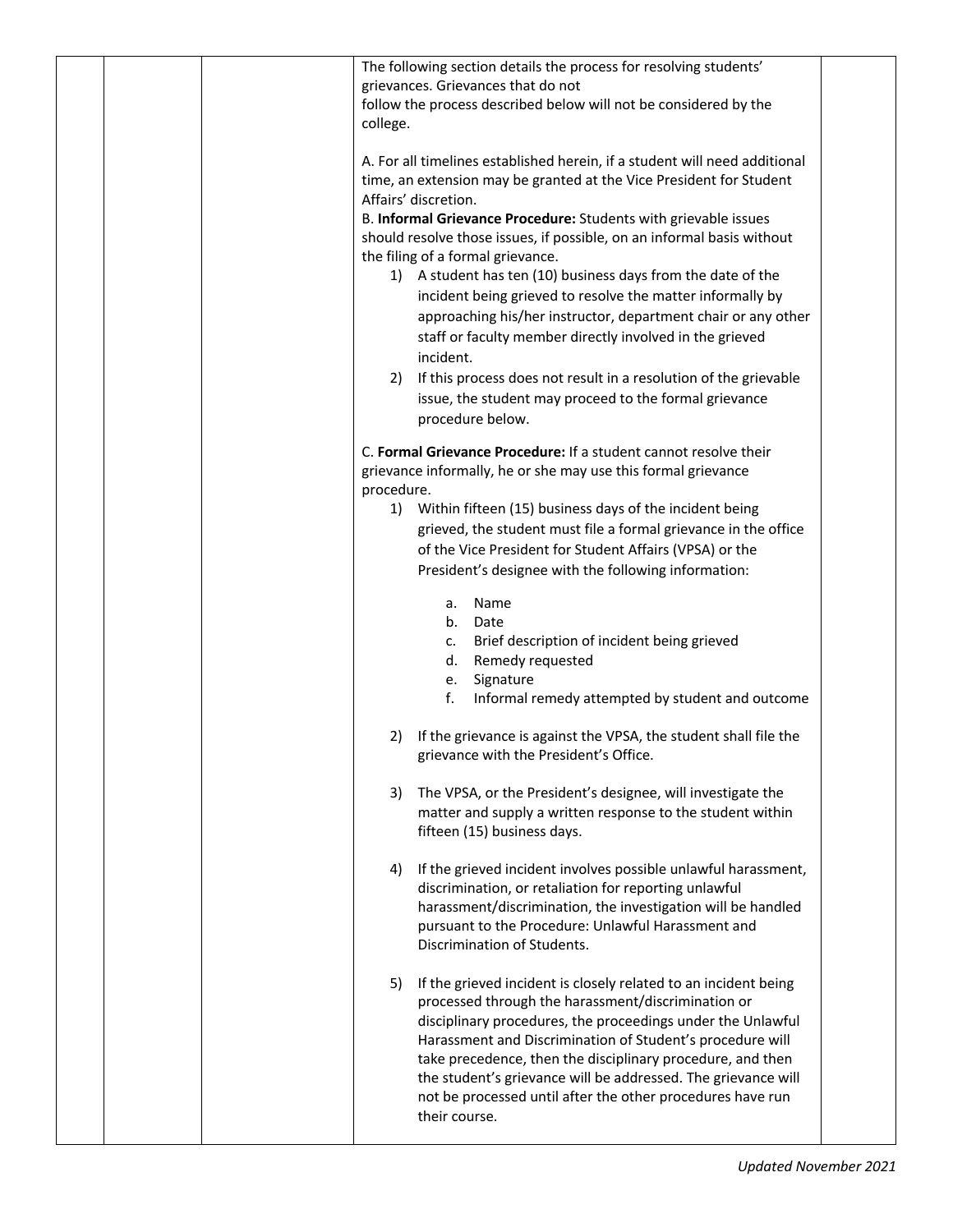| The following section details the process for resolving students'<br>grievances. Grievances that do not<br>follow the process described below will not be considered by the<br>college.                                                                                                                                                                                                                                                                                                                                                                                                                                             |
|-------------------------------------------------------------------------------------------------------------------------------------------------------------------------------------------------------------------------------------------------------------------------------------------------------------------------------------------------------------------------------------------------------------------------------------------------------------------------------------------------------------------------------------------------------------------------------------------------------------------------------------|
| A. For all timelines established herein, if a student will need additional<br>time, an extension may be granted at the Vice President for Student<br>Affairs' discretion.<br>B. Informal Grievance Procedure: Students with grievable issues<br>should resolve those issues, if possible, on an informal basis without<br>the filing of a formal grievance.<br>1) A student has ten (10) business days from the date of the<br>incident being grieved to resolve the matter informally by<br>approaching his/her instructor, department chair or any other<br>staff or faculty member directly involved in the grieved<br>incident. |
| If this process does not result in a resolution of the grievable<br>2)<br>issue, the student may proceed to the formal grievance<br>procedure below.                                                                                                                                                                                                                                                                                                                                                                                                                                                                                |
| C. Formal Grievance Procedure: If a student cannot resolve their<br>grievance informally, he or she may use this formal grievance<br>procedure.<br>1) Within fifteen (15) business days of the incident being<br>grieved, the student must file a formal grievance in the office<br>of the Vice President for Student Affairs (VPSA) or the<br>President's designee with the following information:                                                                                                                                                                                                                                 |
| Name<br>a.<br>b.<br>Date<br>Brief description of incident being grieved<br>c.<br>d.<br>Remedy requested<br>Signature<br>е.<br>f.<br>Informal remedy attempted by student and outcome                                                                                                                                                                                                                                                                                                                                                                                                                                                |
| If the grievance is against the VPSA, the student shall file the<br>2)<br>grievance with the President's Office.                                                                                                                                                                                                                                                                                                                                                                                                                                                                                                                    |
| The VPSA, or the President's designee, will investigate the<br>3)<br>matter and supply a written response to the student within<br>fifteen (15) business days.                                                                                                                                                                                                                                                                                                                                                                                                                                                                      |
| If the grieved incident involves possible unlawful harassment,<br>4)<br>discrimination, or retaliation for reporting unlawful<br>harassment/discrimination, the investigation will be handled<br>pursuant to the Procedure: Unlawful Harassment and<br>Discrimination of Students.                                                                                                                                                                                                                                                                                                                                                  |
| If the grieved incident is closely related to an incident being<br>5)<br>processed through the harassment/discrimination or<br>disciplinary procedures, the proceedings under the Unlawful<br>Harassment and Discrimination of Student's procedure will<br>take precedence, then the disciplinary procedure, and then<br>the student's grievance will be addressed. The grievance will<br>not be processed until after the other procedures have run<br>their course.                                                                                                                                                               |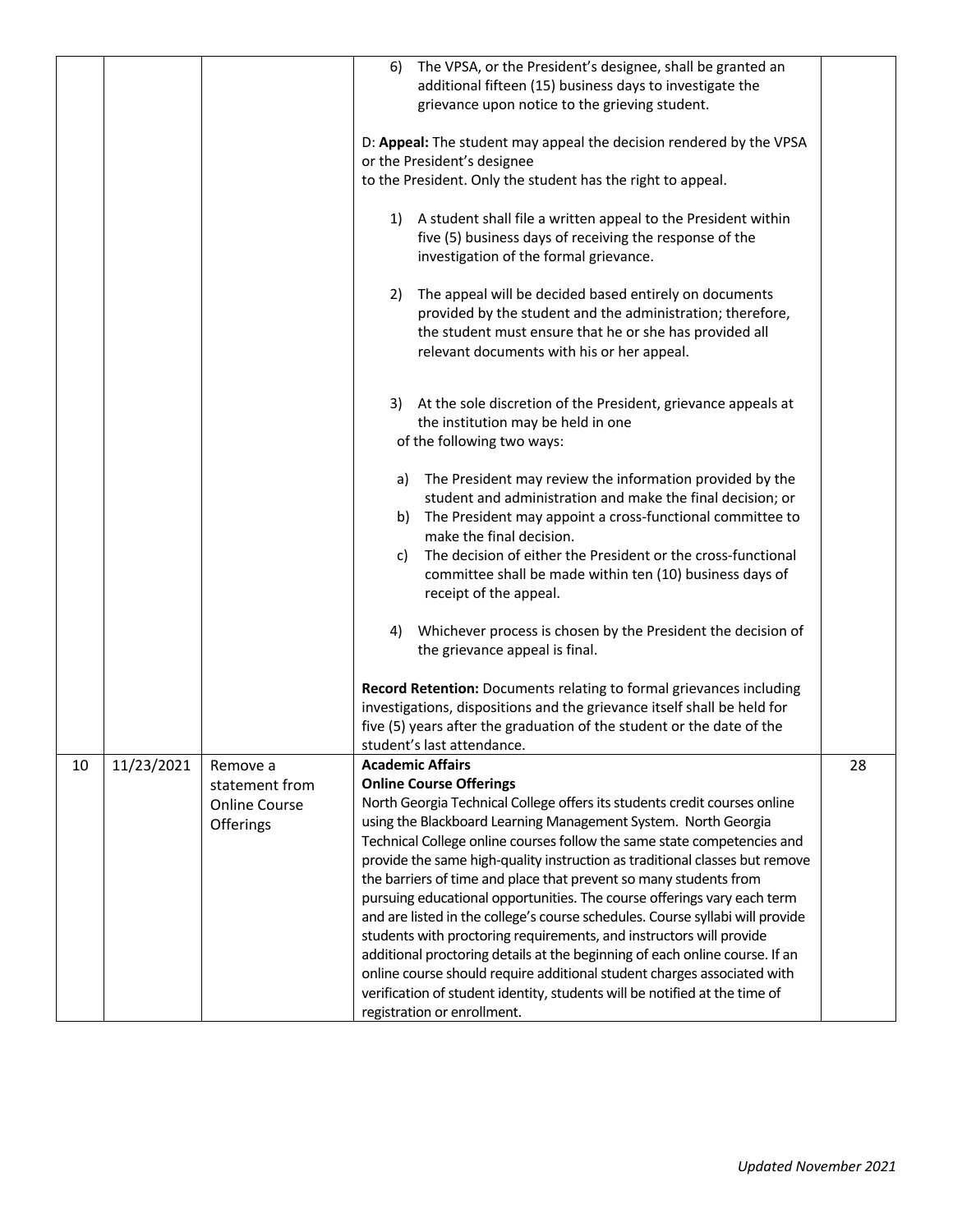|    |            |                      | The VPSA, or the President's designee, shall be granted an<br>6)              |    |
|----|------------|----------------------|-------------------------------------------------------------------------------|----|
|    |            |                      | additional fifteen (15) business days to investigate the                      |    |
|    |            |                      | grievance upon notice to the grieving student.                                |    |
|    |            |                      |                                                                               |    |
|    |            |                      | D: Appeal: The student may appeal the decision rendered by the VPSA           |    |
|    |            |                      | or the President's designee                                                   |    |
|    |            |                      | to the President. Only the student has the right to appeal.                   |    |
|    |            |                      |                                                                               |    |
|    |            |                      | A student shall file a written appeal to the President within<br>1)           |    |
|    |            |                      | five (5) business days of receiving the response of the                       |    |
|    |            |                      | investigation of the formal grievance.                                        |    |
|    |            |                      |                                                                               |    |
|    |            |                      | The appeal will be decided based entirely on documents<br>2)                  |    |
|    |            |                      | provided by the student and the administration; therefore,                    |    |
|    |            |                      | the student must ensure that he or she has provided all                       |    |
|    |            |                      | relevant documents with his or her appeal.                                    |    |
|    |            |                      |                                                                               |    |
|    |            |                      |                                                                               |    |
|    |            |                      | At the sole discretion of the President, grievance appeals at<br>3)           |    |
|    |            |                      | the institution may be held in one                                            |    |
|    |            |                      | of the following two ways:                                                    |    |
|    |            |                      |                                                                               |    |
|    |            |                      | The President may review the information provided by the<br>a)                |    |
|    |            |                      | student and administration and make the final decision; or                    |    |
|    |            |                      | The President may appoint a cross-functional committee to<br>b)               |    |
|    |            |                      | make the final decision.                                                      |    |
|    |            |                      | The decision of either the President or the cross-functional<br>C)            |    |
|    |            |                      | committee shall be made within ten (10) business days of                      |    |
|    |            |                      | receipt of the appeal.                                                        |    |
|    |            |                      |                                                                               |    |
|    |            |                      | Whichever process is chosen by the President the decision of<br>4)            |    |
|    |            |                      | the grievance appeal is final.                                                |    |
|    |            |                      |                                                                               |    |
|    |            |                      | Record Retention: Documents relating to formal grievances including           |    |
|    |            |                      | investigations, dispositions and the grievance itself shall be held for       |    |
|    |            |                      | five (5) years after the graduation of the student or the date of the         |    |
|    |            |                      | student's last attendance.                                                    |    |
| 10 | 11/23/2021 | Remove a             | <b>Academic Affairs</b>                                                       | 28 |
|    |            | statement from       | <b>Online Course Offerings</b>                                                |    |
|    |            | <b>Online Course</b> | North Georgia Technical College offers its students credit courses online     |    |
|    |            | Offerings            | using the Blackboard Learning Management System. North Georgia                |    |
|    |            |                      | Technical College online courses follow the same state competencies and       |    |
|    |            |                      | provide the same high-quality instruction as traditional classes but remove   |    |
|    |            |                      | the barriers of time and place that prevent so many students from             |    |
|    |            |                      | pursuing educational opportunities. The course offerings vary each term       |    |
|    |            |                      | and are listed in the college's course schedules. Course syllabi will provide |    |
|    |            |                      | students with proctoring requirements, and instructors will provide           |    |
|    |            |                      | additional proctoring details at the beginning of each online course. If an   |    |
|    |            |                      | online course should require additional student charges associated with       |    |
|    |            |                      | verification of student identity, students will be notified at the time of    |    |
|    |            |                      | registration or enrollment.                                                   |    |